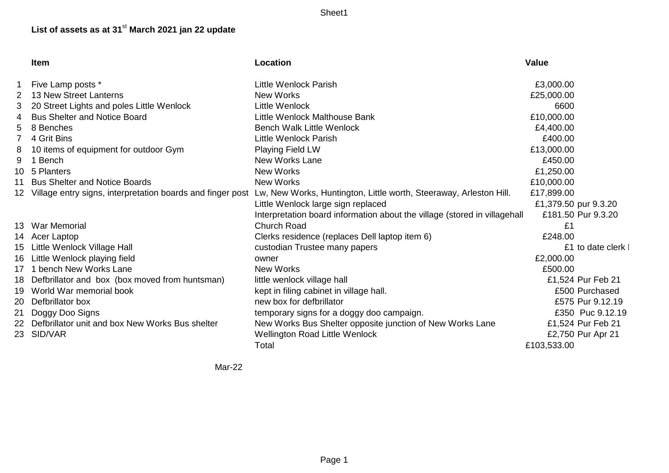Sheet1

## **List of assets as at 31**st **March 2021 jan 22 update**

|             | <b>Item</b>                                                   | Location                                                                  | <b>Value</b>         |
|-------------|---------------------------------------------------------------|---------------------------------------------------------------------------|----------------------|
|             | Five Lamp posts *                                             | Little Wenlock Parish                                                     | £3,000.00            |
| $2^{\circ}$ | 13 New Street Lanterns                                        | New Works                                                                 | £25,000.00           |
| 3.          | 20 Street Lights and poles Little Wenlock                     | Little Wenlock                                                            | 6600                 |
|             | <b>Bus Shelter and Notice Board</b>                           | Little Wenlock Malthouse Bank                                             | £10,000.00           |
| 5.          | 8 Benches                                                     | <b>Bench Walk Little Wenlock</b>                                          | £4,400.00            |
|             | 4 Grit Bins                                                   | <b>Little Wenlock Parish</b>                                              | £400.00              |
| 8           | 10 items of equipment for outdoor Gym                         | <b>Playing Field LW</b>                                                   | £13,000.00           |
| 9           | 1 Bench                                                       | <b>New Works Lane</b>                                                     | £450.00              |
|             | 10 5 Planters                                                 | <b>New Works</b>                                                          | £1,250.00            |
|             | 11 Bus Shelter and Notice Boards                              | <b>New Works</b>                                                          | £10,000.00           |
|             | 12 Village entry signs, interpretation boards and finger post | Lw, New Works, Huntington, Little worth, Steeraway, Arleston Hill.        | £17,899.00           |
|             |                                                               | Little Wenlock large sign replaced                                        | £1,379.50 pur 9.3.20 |
|             |                                                               | Interpretation board information about the village (stored in villagehall | £181.50 Pur 9.3.20   |
|             | 13 War Memorial                                               | <b>Church Road</b>                                                        | £1                   |
|             | 14 Acer Laptop                                                | Clerks residence (replaces Dell laptop item 6)                            | £248.00              |
|             | 15 Little Wenlock Village Hall                                | custodian Trustee many papers                                             | £1 to date clerk     |
|             | 16 Little Wenlock playing field                               | owner                                                                     | £2,000.00            |
|             | 17 1 bench New Works Lane                                     | <b>New Works</b>                                                          | £500.00              |
|             | 18 Defbrillator and box (box moved from huntsman)             | little wenlock village hall                                               | £1,524 Pur Feb 21    |
|             | 19 World War memorial book                                    | kept in filing cabinet in village hall.                                   | £500 Purchased       |
|             | 20 Defbrillator box                                           | new box for defbrillator                                                  | £575 Pur 9.12.19     |
|             | 21 Doggy Doo Signs                                            | temporary signs for a doggy doo campaign.                                 | £350 Puc 9.12.19     |
|             | 22 Defbrillator unit and box New Works Bus shelter            | New Works Bus Shelter opposite junction of New Works Lane                 | £1,524 Pur Feb 21    |
|             | 23 SID/VAR                                                    | Wellington Road Little Wenlock                                            | £2,750 Pur Apr 21    |
|             |                                                               | Total                                                                     | £103,533.00          |

Mar-22